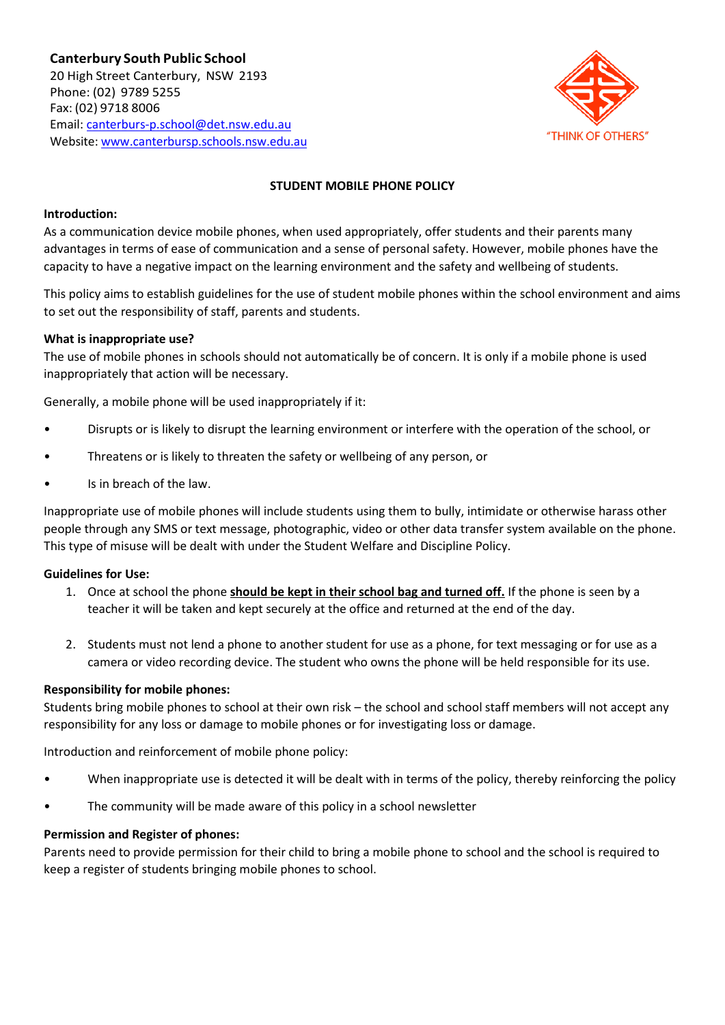

# **STUDENT MOBILE PHONE POLICY**

## **Introduction:**

As a communication device mobile phones, when used appropriately, offer students and their parents many advantages in terms of ease of communication and a sense of personal safety. However, mobile phones have the capacity to have a negative impact on the learning environment and the safety and wellbeing of students.

This policy aims to establish guidelines for the use of student mobile phones within the school environment and aims to set out the responsibility of staff, parents and students.

## **What is inappropriate use?**

The use of mobile phones in schools should not automatically be of concern. It is only if a mobile phone is used inappropriately that action will be necessary.

Generally, a mobile phone will be used inappropriately if it:

- Disrupts or is likely to disrupt the learning environment or interfere with the operation of the school, or
- Threatens or is likely to threaten the safety or wellbeing of any person, or
- Is in breach of the law.

Inappropriate use of mobile phones will include students using them to bully, intimidate or otherwise harass other people through any SMS or text message, photographic, video or other data transfer system available on the phone. This type of misuse will be dealt with under the Student Welfare and Discipline Policy.

### **Guidelines for Use:**

- 1. Once at school the phone **should be kept in their school bag and turned off.** If the phone is seen by a teacher it will be taken and kept securely at the office and returned at the end of the day.
- 2. Students must not lend a phone to another student for use as a phone, for text messaging or for use as a camera or video recording device. The student who owns the phone will be held responsible for its use.

### **Responsibility for mobile phones:**

Students bring mobile phones to school at their own risk – the school and school staff members will not accept any responsibility for any loss or damage to mobile phones or for investigating loss or damage.

Introduction and reinforcement of mobile phone policy:

- When inappropriate use is detected it will be dealt with in terms of the policy, thereby reinforcing the policy
- The community will be made aware of this policy in a school newsletter

### **Permission and Register of phones:**

Parents need to provide permission for their child to bring a mobile phone to school and the school is required to keep a register of students bringing mobile phones to school.